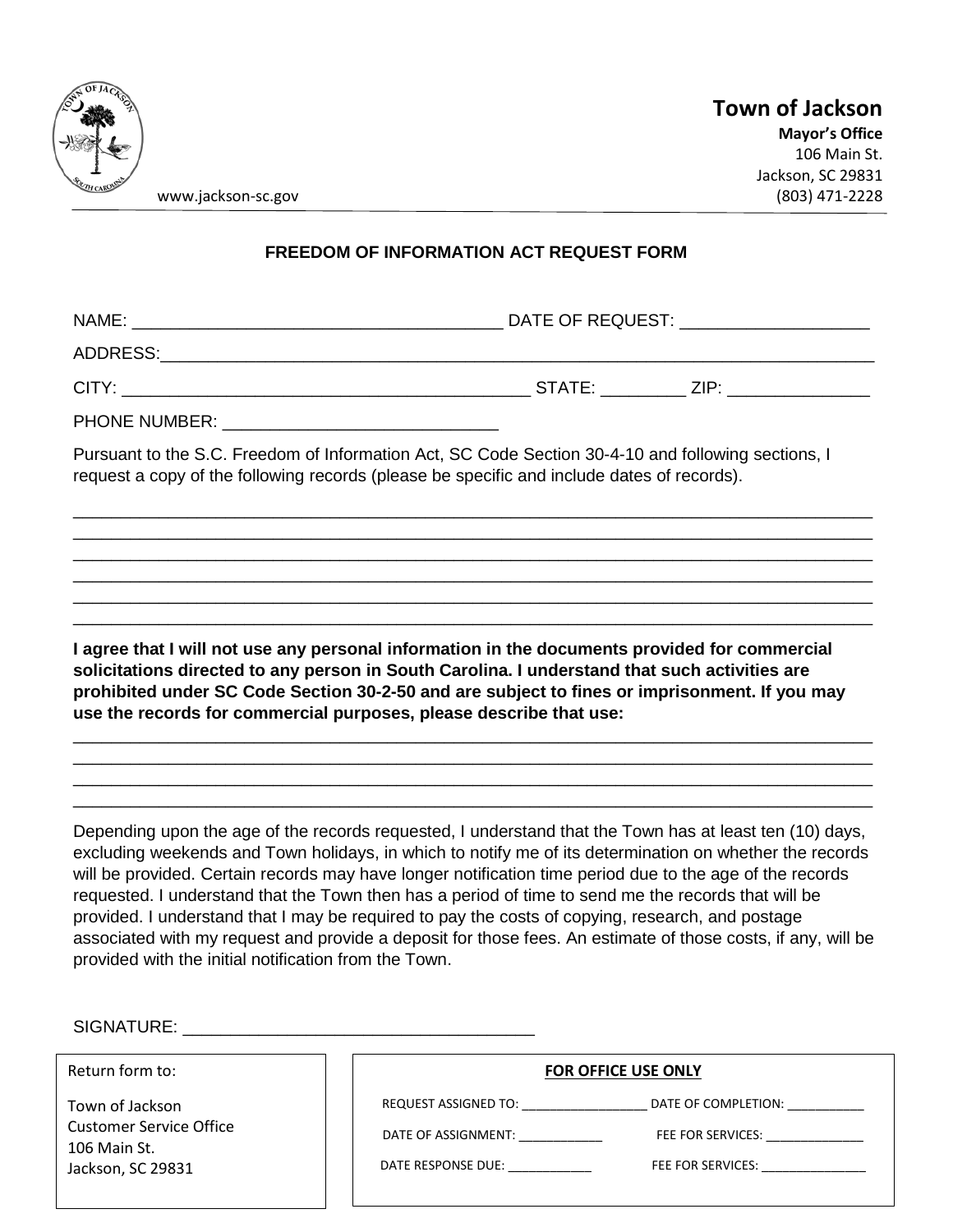

www.jackson-sc.gov

## **FREEDOM OF INFORMATION ACT REQUEST FORM**

NAME: \_\_\_\_\_\_\_\_\_\_\_\_\_\_\_\_\_\_\_\_\_\_\_\_\_\_\_\_\_\_\_\_\_\_\_\_\_\_\_ DATE OF REQUEST: \_\_\_\_\_\_\_\_\_\_\_\_\_\_\_\_\_\_\_\_

ADDRESS:\_\_\_\_\_\_\_\_\_\_\_\_\_\_\_\_\_\_\_\_\_\_\_\_\_\_\_\_\_\_\_\_\_\_\_\_\_\_\_\_\_\_\_\_\_\_\_\_\_\_\_\_\_\_\_\_\_\_\_\_\_\_\_\_\_\_\_\_\_\_\_\_\_\_\_

CITY: \_\_\_\_\_\_\_\_\_\_\_\_\_\_\_\_\_\_\_\_\_\_\_\_\_\_\_\_\_\_\_\_\_\_\_\_\_\_\_\_\_\_\_ STATE: \_\_\_\_\_\_\_\_\_ ZIP: \_\_\_\_\_\_\_\_\_\_\_\_\_\_\_

PHONE NUMBER:

Pursuant to the S.C. Freedom of Information Act, SC Code Section 30-4-10 and following sections, I request a copy of the following records (please be specific and include dates of records).

\_\_\_\_\_\_\_\_\_\_\_\_\_\_\_\_\_\_\_\_\_\_\_\_\_\_\_\_\_\_\_\_\_\_\_\_\_\_\_\_\_\_\_\_\_\_\_\_\_\_\_\_\_\_\_\_\_\_\_\_\_\_\_\_\_\_\_\_\_\_\_\_\_\_\_\_\_\_\_\_\_\_\_\_ \_\_\_\_\_\_\_\_\_\_\_\_\_\_\_\_\_\_\_\_\_\_\_\_\_\_\_\_\_\_\_\_\_\_\_\_\_\_\_\_\_\_\_\_\_\_\_\_\_\_\_\_\_\_\_\_\_\_\_\_\_\_\_\_\_\_\_\_\_\_\_\_\_\_\_\_\_\_\_\_\_\_\_\_ \_\_\_\_\_\_\_\_\_\_\_\_\_\_\_\_\_\_\_\_\_\_\_\_\_\_\_\_\_\_\_\_\_\_\_\_\_\_\_\_\_\_\_\_\_\_\_\_\_\_\_\_\_\_\_\_\_\_\_\_\_\_\_\_\_\_\_\_\_\_\_\_\_\_\_\_\_\_\_\_\_\_\_\_ \_\_\_\_\_\_\_\_\_\_\_\_\_\_\_\_\_\_\_\_\_\_\_\_\_\_\_\_\_\_\_\_\_\_\_\_\_\_\_\_\_\_\_\_\_\_\_\_\_\_\_\_\_\_\_\_\_\_\_\_\_\_\_\_\_\_\_\_\_\_\_\_\_\_\_\_\_\_\_\_\_\_\_\_ \_\_\_\_\_\_\_\_\_\_\_\_\_\_\_\_\_\_\_\_\_\_\_\_\_\_\_\_\_\_\_\_\_\_\_\_\_\_\_\_\_\_\_\_\_\_\_\_\_\_\_\_\_\_\_\_\_\_\_\_\_\_\_\_\_\_\_\_\_\_\_\_\_\_\_\_\_\_\_\_\_\_\_\_ \_\_\_\_\_\_\_\_\_\_\_\_\_\_\_\_\_\_\_\_\_\_\_\_\_\_\_\_\_\_\_\_\_\_\_\_\_\_\_\_\_\_\_\_\_\_\_\_\_\_\_\_\_\_\_\_\_\_\_\_\_\_\_\_\_\_\_\_\_\_\_\_\_\_\_\_\_\_\_\_\_\_\_\_

**I agree that I will not use any personal information in the documents provided for commercial solicitations directed to any person in South Carolina. I understand that such activities are prohibited under SC Code Section 30-2-50 and are subject to fines or imprisonment. If you may use the records for commercial purposes, please describe that use:** 

\_\_\_\_\_\_\_\_\_\_\_\_\_\_\_\_\_\_\_\_\_\_\_\_\_\_\_\_\_\_\_\_\_\_\_\_\_\_\_\_\_\_\_\_\_\_\_\_\_\_\_\_\_\_\_\_\_\_\_\_\_\_\_\_\_\_\_\_\_\_\_\_\_\_\_\_\_\_\_\_\_\_\_\_ \_\_\_\_\_\_\_\_\_\_\_\_\_\_\_\_\_\_\_\_\_\_\_\_\_\_\_\_\_\_\_\_\_\_\_\_\_\_\_\_\_\_\_\_\_\_\_\_\_\_\_\_\_\_\_\_\_\_\_\_\_\_\_\_\_\_\_\_\_\_\_\_\_\_\_\_\_\_\_\_\_\_\_\_ \_\_\_\_\_\_\_\_\_\_\_\_\_\_\_\_\_\_\_\_\_\_\_\_\_\_\_\_\_\_\_\_\_\_\_\_\_\_\_\_\_\_\_\_\_\_\_\_\_\_\_\_\_\_\_\_\_\_\_\_\_\_\_\_\_\_\_\_\_\_\_\_\_\_\_\_\_\_\_\_\_\_\_\_ \_\_\_\_\_\_\_\_\_\_\_\_\_\_\_\_\_\_\_\_\_\_\_\_\_\_\_\_\_\_\_\_\_\_\_\_\_\_\_\_\_\_\_\_\_\_\_\_\_\_\_\_\_\_\_\_\_\_\_\_\_\_\_\_\_\_\_\_\_\_\_\_\_\_\_\_\_\_\_\_\_\_\_\_

Depending upon the age of the records requested, I understand that the Town has at least ten (10) days, excluding weekends and Town holidays, in which to notify me of its determination on whether the records will be provided. Certain records may have longer notification time period due to the age of the records requested. I understand that the Town then has a period of time to send me the records that will be provided. I understand that I may be required to pay the costs of copying, research, and postage associated with my request and provide a deposit for those fees. An estimate of those costs, if any, will be provided with the initial notification from the Town.

| Return form to:                                                                        |                                                                   | <b>FOR OFFICE USE ONLY</b>                                                                                                                                                                                                                                                                |
|----------------------------------------------------------------------------------------|-------------------------------------------------------------------|-------------------------------------------------------------------------------------------------------------------------------------------------------------------------------------------------------------------------------------------------------------------------------------------|
| Town of Jackson<br><b>Customer Service Office</b><br>106 Main St.<br>Jackson, SC 29831 | REQUEST ASSIGNED TO:<br>DATE OF ASSIGNMENT:<br>DATE RESPONSE DUE: | DATE OF COMPLETION:<br>FEE FOR SERVICES: THE RESERVICES:<br>FEE FOR SERVICES: THE RESIDENCE OF THE RESIDENCE OF THE RESIDENCE OF THE RESIDENCE OF THE RESIDENCE OF THE RESIDENCE OF THE RESIDENCE OF THE RESIDENCE OF THE RESIDENCE OF THE RESIDENCE OF THE RESIDENCE OF THE RESIDENCE OF |